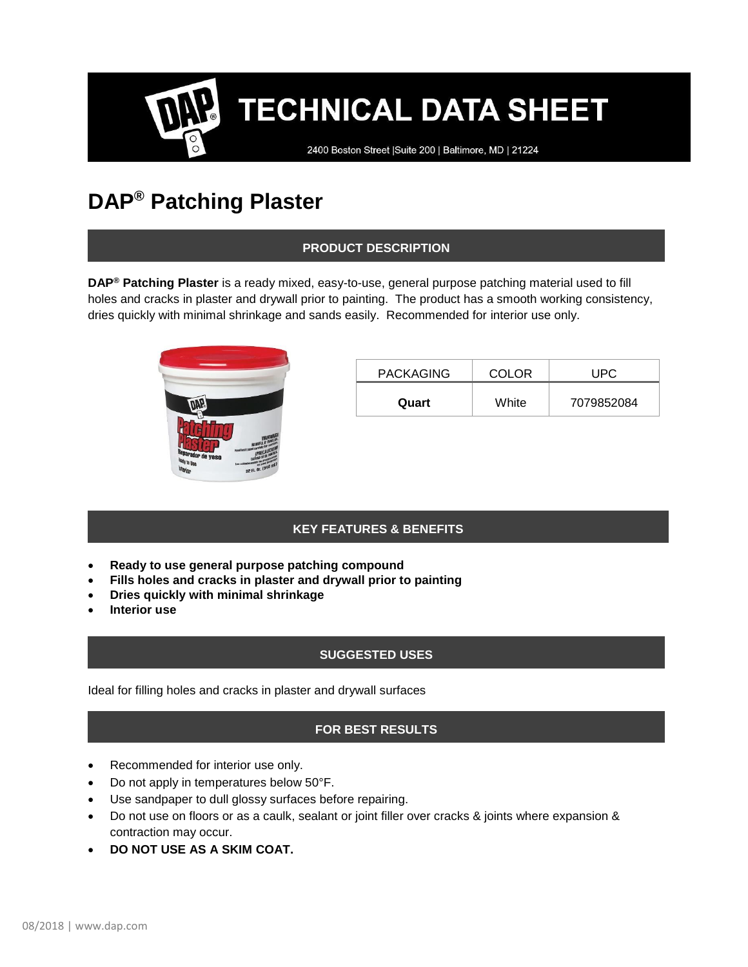# **TECHNICAL DATA SHEET**

2400 Boston Street | Suite 200 | Baltimore, MD | 21224

# **DAP® Patching Plaster**

# **PRODUCT DESCRIPTION**

**DAP® Patching Plaster** is a ready mixed, easy-to-use, general purpose patching material used to fill holes and cracks in plaster and drywall prior to painting. The product has a smooth working consistency, dries quickly with minimal shrinkage and sands easily. Recommended for interior use only.



| <b>PACKAGING</b> | <b>COLOR</b> | UPC.       |
|------------------|--------------|------------|
| Quart            | White        | 7079852084 |

# **KEY FEATURES & BENEFITS**

- **Ready to use general purpose patching compound**
- **Fills holes and cracks in plaster and drywall prior to painting**
- **Dries quickly with minimal shrinkage**
- **Interior use**

# **SUGGESTED USES**

Ideal for filling holes and cracks in plaster and drywall surfaces

# **FOR BEST RESULTS**

- Recommended for interior use only.
- Do not apply in temperatures below 50°F.
- Use sandpaper to dull glossy surfaces before repairing.
- Do not use on floors or as a caulk, sealant or joint filler over cracks & joints where expansion & contraction may occur.
- **DO NOT USE AS A SKIM COAT.**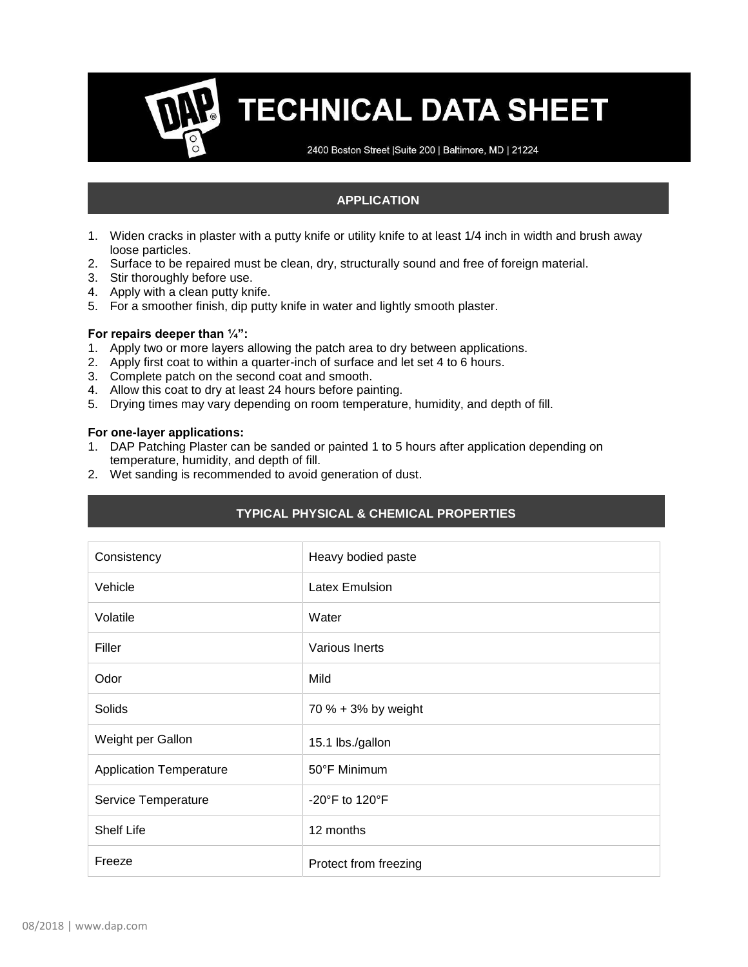# **TECHNICAL DATA SHEET**

2400 Boston Street | Suite 200 | Baltimore, MD | 21224

### **APPLICATION**

- 1. Widen cracks in plaster with a putty knife or utility knife to at least 1/4 inch in width and brush away loose particles.
- 2. Surface to be repaired must be clean, dry, structurally sound and free of foreign material.
- 3. Stir thoroughly before use.
- 4. Apply with a clean putty knife.
- 5. For a smoother finish, dip putty knife in water and lightly smooth plaster.

#### **For repairs deeper than ¼":**

- 1. Apply two or more layers allowing the patch area to dry between applications.
- 2. Apply first coat to within a quarter-inch of surface and let set 4 to 6 hours.
- 3. Complete patch on the second coat and smooth.
- 4. Allow this coat to dry at least 24 hours before painting.
- 5. Drying times may vary depending on room temperature, humidity, and depth of fill.

#### **For one-layer applications:**

- 1. DAP Patching Plaster can be sanded or painted 1 to 5 hours after application depending on temperature, humidity, and depth of fill.
- 2. Wet sanding is recommended to avoid generation of dust.

| Consistency                    | Heavy bodied paste                 |
|--------------------------------|------------------------------------|
| Vehicle                        | <b>Latex Emulsion</b>              |
| Volatile                       | Water                              |
| Filler                         | Various Inerts                     |
| Odor                           | Mild                               |
| Solids                         | 70 % + 3% by weight                |
| Weight per Gallon              | 15.1 lbs./gallon                   |
| <b>Application Temperature</b> | 50°F Minimum                       |
| Service Temperature            | -20 $\degree$ F to 120 $\degree$ F |
| <b>Shelf Life</b>              | 12 months                          |
| Freeze                         | Protect from freezing              |

# **TYPICAL PHYSICAL & CHEMICAL PROPERTIES**